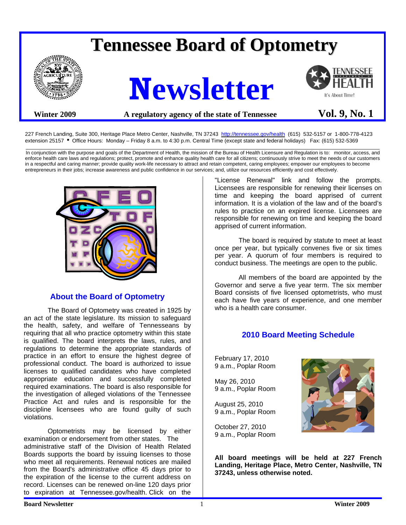# **Tennessee Board of Optometry**







# Winter 2009 **A** regulatory agency of the state of Tennessee **Vol. 9, No. 1**

227 French Landing, Suite 300, Heritage Place Metro Center, Nashville, TN 37243 <http://tennessee.gov/health>(615) 532-5157 or 1-800-778-4123 extension 25157 • Office Hours: Monday – Friday 8 a.m. to 4:30 p.m. Central Time (except state and federal holidays) Fax: (615) 532-5369

\_\_\_\_\_\_\_\_\_\_\_\_\_\_\_\_\_\_\_\_\_\_\_\_\_\_\_\_\_\_\_\_\_\_\_\_\_\_\_\_\_\_\_\_\_\_\_\_\_\_\_\_\_\_\_\_\_\_\_\_\_\_\_\_\_\_\_\_\_\_\_\_\_\_\_\_\_\_\_\_\_\_\_\_\_\_\_\_\_\_\_\_\_\_\_\_\_\_\_\_\_\_\_\_\_\_\_\_\_\_\_\_\_\_\_\_\_\_\_\_ In conjunction with the purpose and goals of the Department of Health, the mission of the Bureau of Health Licensure and Regulation is to: monitor, access, and enforce health care laws and regulations; protect, promote and enhance quality health care for all citizens; continuously strive to meet the needs of our customers in a respectful and caring manner; provide quality work-life necessary to attract and retain competent, caring employees; empower our employees to become entrepreneurs in their jobs; increase awareness and public confidence in our services; and, utilize our resources efficiently and cost effectively.



## **About the Board of Optometry**

 The Board of Optometry was created in 1925 by an act of the state legislature. Its mission to safeguard the health, safety, and welfare of Tennesseans by requiring that all who practice optometry within this state is qualified. The board interprets the laws, rules, and regulations to determine the appropriate standards of practice in an effort to ensure the highest degree of professional conduct. The board is authorized to issue licenses to qualified candidates who have completed appropriate education and successfully completed required examinations. The board is also responsible for the investigation of alleged violations of the Tennessee Practice Act and rules and is responsible for the discipline licensees who are found guilty of such violations.

 Optometrists may be licensed by either examination or endorsement from other states. The administrative staff of the Division of Health Related Boards supports the board by issuing licenses to those who meet all requirements. Renewal notices are mailed from the Board's administrative office 45 days prior to the expiration of the license to the current address on record. Licenses can be renewed on-line 120 days prior to expiration at Tennessee.gov/health. Click on the

"License Renewal" link and follow the prompts. Licensees are responsible for renewing their licenses on time and keeping the board apprised of current information. It is a violation of the law and of the board's rules to practice on an expired license. Licensees are responsible for renewing on time and keeping the board apprised of current information.

 The board is required by statute to meet at least once per year, but typically convenes five or six times per year. A quorum of four members is required to conduct business. The meetings are open to the public.

 All members of the board are appointed by the Governor and serve a five year term. The six member Board consists of five licensed optometrists, who must each have five years of experience, and one member who is a health care consumer.

# **2010 Board Meeting Schedule**

February 17, 2010 9 a.m., Poplar Room

May 26, 2010 9 a.m., Poplar Room

August 25, 2010 9 a.m., Poplar Room

October 27, 2010 9 a.m., Poplar Room



**All board meetings will be held at 227 French Landing, Heritage Place, Metro Center, Nashville, TN 37243, unless otherwise noted.**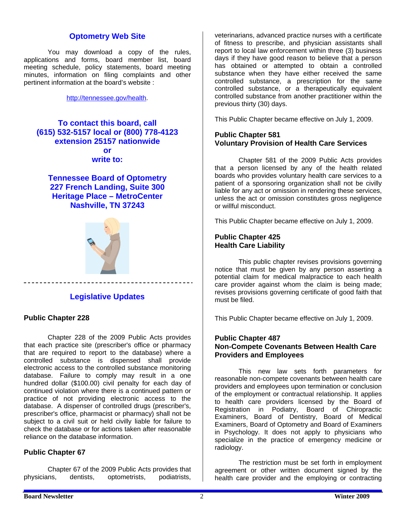## **Optometry Web Site**

 You may download a copy of the rules, applications and forms, board member list, board meeting schedule, policy statements, board meeting minutes, information on filing complaints and other pertinent information at the board's website :

[http://tennessee.gov/health.](http://tennessee.gov/health)

**To contact this board, call (615) 532-5157 local or (800) 778-4123 extension 25157 nationwide or write to:** 

**Tennessee Board of Optometry 227 French Landing, Suite 300 Heritage Place – MetroCenter Nashville, TN 37243** 



## **Legislative Updates**

#### **Public Chapter 228**

Chapter 228 of the 2009 Public Acts provides that each practice site (prescriber's office or pharmacy that are required to report to the database) where a controlled substance is dispensed shall provide electronic access to the controlled substance monitoring database. Failure to comply may result in a one hundred dollar (\$100.00) civil penalty for each day of continued violation where there is a continued pattern or practice of not providing electronic access to the database. A dispenser of controlled drugs (prescriber's, prescriber's office, pharmacist or pharmacy) shall not be subject to a civil suit or held civilly liable for failure to check the database or for actions taken after reasonable reliance on the database information.

## **Public Chapter 67**

 Chapter 67 of the 2009 Public Acts provides that physicians, dentists, optometrists, podiatrists,

veterinarians, advanced practice nurses with a certificate of fitness to prescribe, and physician assistants shall report to local law enforcement within three (3) business days if they have good reason to believe that a person has obtained or attempted to obtain a controlled substance when they have either received the same controlled substance, a prescription for the same controlled substance, or a therapeutically equivalent controlled substance from another practitioner within the previous thirty (30) days.

This Public Chapter became effective on July 1, 2009.

#### **Public Chapter 581 Voluntary Provision of Health Care Services**

Chapter 581 of the 2009 Public Acts provides that a person licensed by any of the health related boards who provides voluntary health care services to a patient of a sponsoring organization shall not be civilly liable for any act or omission in rendering these services, unless the act or omission constitutes gross negligence or willful misconduct.

This Public Chapter became effective on July 1, 2009.

#### **Public Chapter 425 Health Care Liability**

This public chapter revises provisions governing notice that must be given by any person asserting a potential claim for medical malpractice to each health care provider against whom the claim is being made; revises provisions governing certificate of good faith that must be filed.

This Public Chapter became effective on July 1, 2009.

## **Public Chapter 487 Non-Compete Covenants Between Health Care Providers and Employees**

 This new law sets forth parameters for reasonable non-compete covenants between health care providers and employees upon termination or conclusion of the employment or contractual relationship. It applies to health care providers licensed by the Board of Registration in Podiatry, Board of Chiropractic Examiners, Board of Dentistry, Board of Medical Examiners, Board of Optometry and Board of Examiners in Psychology. It does not apply to physicians who specialize in the practice of emergency medicine or radiology.

 The restriction must be set forth in employment agreement or other written document signed by the health care provider and the employing or contracting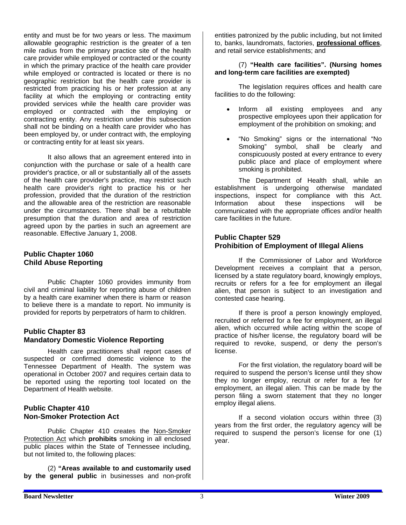entity and must be for two years or less. The maximum allowable geographic restriction is the greater of a ten mile radius from the primary practice site of the health care provider while employed or contracted or the county in which the primary practice of the health care provider while employed or contracted is located or there is no geographic restriction but the health care provider is restricted from practicing his or her profession at any facility at which the employing or contracting entity provided services while the health care provider was employed or contracted with the employing or contracting entity. Any restriction under this subsection shall not be binding on a health care provider who has been employed by, or under contract with, the employing or contracting entity for at least six years.

 It also allows that an agreement entered into in conjunction with the purchase or sale of a health care provider's practice, or all or substantially all of the assets of the health care provider's practice, may restrict such health care provider's right to practice his or her profession, provided that the duration of the restriction and the allowable area of the restriction are reasonable under the circumstances. There shall be a rebuttable presumption that the duration and area of restriction agreed upon by the parties in such an agreement are reasonable. Effective January 1, 2008.

## **Public Chapter 1060 Child Abuse Reporting**

 Public Chapter 1060 provides immunity from civil and criminal liability for reporting abuse of children by a health care examiner when there is harm or reason to believe there is a mandate to report. No immunity is provided for reports by perpetrators of harm to children.

#### **Public Chapter 83 Mandatory Domestic Violence Reporting**

 Health care practitioners shall report cases of suspected or confirmed domestic violence to the Tennessee Department of Health. The system was operational in October 2007 and requires certain data to be reported using the reporting tool located on the Department of Health website.

## **Public Chapter 410 Non-Smoker Protection Act**

 Public Chapter 410 creates the Non-Smoker Protection Act which **prohibits** smoking in all enclosed public places within the State of Tennessee including, but not limited to, the following places:

(2) **"Areas available to and customarily used by the general public** in businesses and non-profit

entities patronized by the public including, but not limited to, banks, laundromats, factories, **professional offices**, and retail service establishments; and

#### (7) **"Health care facilities". (Nursing homes and long-term care facilities are exempted)**

 The legislation requires offices and health care facilities to do the following:

- Inform all existing employees and any prospective employees upon their application for employment of the prohibition on smoking; and
- "No Smoking" signs or the international "No Smoking" symbol, shall be clearly and conspicuously posted at every entrance to every public place and place of employment where smoking is prohibited.

 The Department of Health shall, while an establishment is undergoing otherwise mandated inspections, inspect for compliance with this Act. Information about these inspections will be communicated with the appropriate offices and/or health care facilities in the future.

## **Public Chapter 529 Prohibition of Employment of Illegal Aliens**

 If the Commissioner of Labor and Workforce Development receives a complaint that a person, licensed by a state regulatory board, knowingly employs, recruits or refers for a fee for employment an illegal alien, that person is subject to an investigation and contested case hearing.

 If there is proof a person knowingly employed, recruited or referred for a fee for employment, an illegal alien, which occurred while acting within the scope of practice of his/her license, the regulatory board will be required to revoke, suspend, or deny the person's license.

 For the first violation, the regulatory board will be required to suspend the person's license until they show they no longer employ, recruit or refer for a fee for employment, an illegal alien. This can be made by the person filing a sworn statement that they no longer employ illegal aliens.

 If a second violation occurs within three (3) years from the first order, the regulatory agency will be required to suspend the person's license for one (1) year.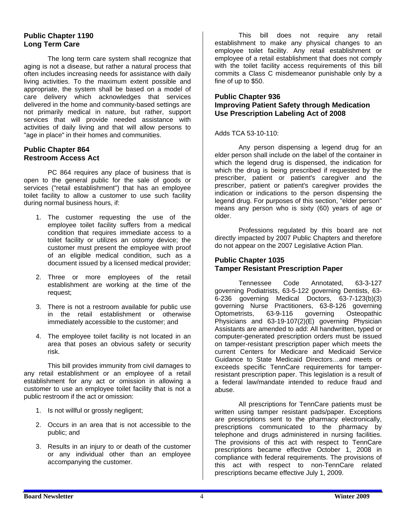## **Public Chapter 1190 Long Term Care**

 The long term care system shall recognize that aging is not a disease, but rather a natural process that often includes increasing needs for assistance with daily living activities. To the maximum extent possible and appropriate, the system shall be based on a model of care delivery which acknowledges that services delivered in the home and community-based settings are not primarily medical in nature, but rather, support services that will provide needed assistance with activities of daily living and that will allow persons to "age in place" in their homes and communities.

#### **Public Chapter 864 Restroom Access Act**

 PC 864 requires any place of business that is open to the general public for the sale of goods or services ("retail establishment") that has an employee toilet facility to allow a customer to use such facility during normal business hours, if:

- 1. The customer requesting the use of the employee toilet facility suffers from a medical condition that requires immediate access to a toilet facility or utilizes an ostomy device; the customer must present the employee with proof of an eligible medical condition, such as a document issued by a licensed medical provider;
- 2. Three or more employees of the retail establishment are working at the time of the request;
- 3. There is not a restroom available for public use in the retail establishment or otherwise immediately accessible to the customer; and
- 4. The employee toilet facility is not located in an area that poses an obvious safety or security risk.

 This bill provides immunity from civil damages to any retail establishment or an employee of a retail establishment for any act or omission in allowing a customer to use an employee toilet facility that is not a public restroom if the act or omission:

- 1. Is not willful or grossly negligent;
- 2. Occurs in an area that is not accessible to the public; and
- 3. Results in an injury to or death of the customer or any individual other than an employee accompanying the customer.

 This bill does not require any retail establishment to make any physical changes to an employee toilet facility. Any retail establishment or employee of a retail establishment that does not comply with the toilet facility access requirements of this bill commits a Class C misdemeanor punishable only by a fine of up to \$50.

## **Public Chapter 936 Improving Patient Safety through Medication Use Prescription Labeling Act of 2008**

Adds TCA 53-10-110:

 Any person dispensing a legend drug for an elder person shall include on the label of the container in which the legend drug is dispensed, the indication for which the drug is being prescribed if requested by the prescriber, patient or patient's caregiver and the prescriber, patient or patient's caregiver provides the indication or indications to the person dispensing the legend drug. For purposes of this section, "elder person" means any person who is sixty (60) years of age or older.

 Professions regulated by this board are not directly impacted by 2007 Public Chapters and therefore do not appear on the 2007 Legislative Action Plan.

## **Public Chapter 1035 Tamper Resistant Prescription Paper**

 Tennessee Code Annotated, 63-3-127 governing Podiatrists, 63-5-122 governing Dentists, 63- 6-236 governing Medical Doctors, 63-7-123(b)(3) governing Nurse Practitioners, 63-8-126 governing Optometrists, 63-9-116 governing Osteopathic Physicians and 63-19-107(2)(E) governing Physician Assistants are amended to add: All handwritten, typed or computer-generated prescription orders must be issued on tamper-resistant prescription paper which meets the current Centers for Medicare and Medicaid Service Guidance to State Medicaid Directors…and meets or exceeds specific TennCare requirements for tamperresistant prescription paper. This legislation is a result of a federal law/mandate intended to reduce fraud and abuse.

 All prescriptions for TennCare patients must be written using tamper resistant pads/paper. Exceptions are prescriptions sent to the pharmacy electronically, prescriptions communicated to the pharmacy by telephone and drugs administered in nursing facilities. The provisions of this act with respect to TennCare prescriptions became effective October 1, 2008 in compliance with federal requirements. The provisions of this act with respect to non-TennCare related prescriptions became effective July 1, 2009.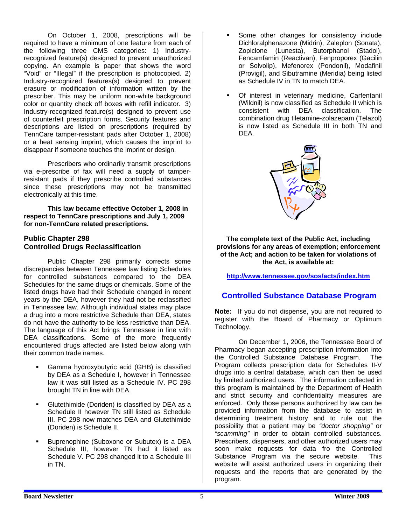On October 1, 2008, prescriptions will be required to have a minimum of one feature from each of the following three CMS categories: 1) Industryrecognized feature(s) designed to prevent unauthorized copying. An example is paper that shows the word "Void" or "Illegal" if the prescription is photocopied. 2) Industry-recognized features(s) designed to prevent erasure or modification of information written by the prescriber. This may be uniform non-white background color or quantity check off boxes with refill indicator. 3) Industry-recognized feature(s) designed to prevent use of counterfeit prescription forms. Security features and descriptions are listed on prescriptions (required by TennCare tamper-resistant pads after October 1, 2008) or a heat sensing imprint, which causes the imprint to disappear if someone touches the imprint or design.

 Prescribers who ordinarily transmit prescriptions via e-prescribe of fax will need a supply of tamperresistant pads if they prescribe controlled substances since these prescriptions may not be transmitted electronically at this time.

**This law became effective October 1, 2008 in respect to TennCare prescriptions and July 1, 2009 for non-TennCare related prescriptions.**

#### **Public Chapter 298 Controlled Drugs Reclassification**

 Public Chapter 298 primarily corrects some discrepancies between Tennessee law listing Schedules for controlled substances compared to the DEA Schedules for the same drugs or chemicals. Some of the listed drugs have had their Schedule changed in recent years by the DEA, however they had not be reclassified in Tennessee law. Although individual states may place a drug into a more restrictive Schedule than DEA, states do not have the authority to be less restrictive than DEA. The language of this Act brings Tennessee in line with DEA classifications. Some of the more frequently encountered drugs affected are listed below along with their common trade names.

- Gamma hydroxybutyric acid (GHB) is classified by DEA as a Schedule I, however in Tennessee law it was still listed as a Schedule IV. PC 298 brought TN in line with DEA.
- Glutethimide (Doriden) is classified by DEA as a Schedule II however TN still listed as Schedule III. PC 298 now matches DEA and Glutethimide (Doriden) is Schedule II.
- Buprenophine (Suboxone or Subutex) is a DEA Schedule III, however TN had it listed as Schedule V. PC 298 changed it to a Schedule III in TN.
- Some other changes for consistency include Dichloralphenazone (Midrin), Zaleplon (Sonata), Zopiclone (Lunesta), Butorphanol (Stadol), Fencamfamin (Reactivan), Fenproporex (Gacilin or Solvolip), Mefenorex (Pondonil), Modafinil (Provigil), and Sibutramine (Meridia) being listed as Schedule IV in TN to match DEA.
- Of interest in veterinary medicine, Carfentanil (Wildnil) is now classified as Schedule II which is consistent with DEA classification. The combination drug tiletamine-zolazepam (Telazol) is now listed as Schedule III in both TN and DEA.



**The complete text of the Public Act, including provisions for any areas of exemption; enforcement of the Act; and action to be taken for violations of the Act, is available at:** 

**<http://www.tennessee.gov/sos/acts/index.htm>**

# **Controlled Substance Database Program**

**Note:** If you do not dispense, you are not required to register with the Board of Pharmacy or Optimum Technology.

 On December 1, 2006, the Tennessee Board of Pharmacy began accepting prescription information into the Controlled Substance Database Program. The Program collects prescription data for Schedules II-V drugs into a central database, which can then be used by limited authorized users. The information collected in this program is maintained by the Department of Health and strict security and confidentiality measures are enforced. Only those persons authorized by law can be provided information from the database to assist in determining treatment history and to rule out the possibility that a patient may be *"doctor shopping"* or *"scamming"* in order to obtain controlled substances. Prescribers, dispensers, and other authorized users may soon make requests for data fro the Controlled Substance Program via the secure website. This website will assist authorized users in organizing their requests and the reports that are generated by the program.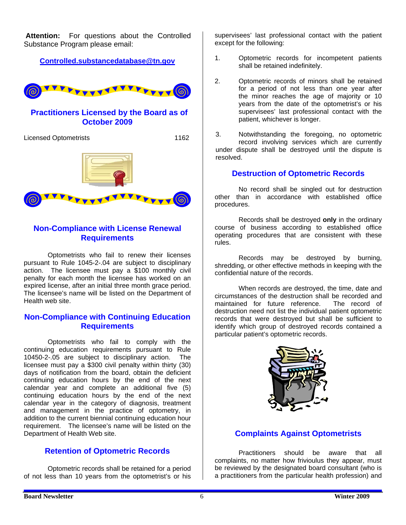**Attention:** For questions about the Controlled Substance Program please email:

**[Controlled.substancedatabase@tn.gov](mailto:Controlled.substancedatabase@tn.gov)**



## **Practitioners Licensed by the Board as of October 2009**

Licensed Optometrists 1162



## **Non-Compliance with License Renewal Requirements**

 Optometrists who fail to renew their licenses pursuant to Rule 1045-2-.04 are subject to disciplinary action. The licensee must pay a \$100 monthly civil penalty for each month the licensee has worked on an expired license, after an initial three month grace period. The licensee's name will be listed on the Department of Health web site.

## **Non-Compliance with Continuing Education Requirements**

 Optometrists who fail to comply with the continuing education requirements pursuant to Rule 10450-2-.05 are subject to disciplinary action. The licensee must pay a \$300 civil penalty within thirty (30) days of notification from the board, obtain the deficient continuing education hours by the end of the next calendar year and complete an additional five (5) continuing education hours by the end of the next calendar year in the category of diagnosis, treatment and management in the practice of optometry, in addition to the current biennial continuing education hour requirement. The licensee's name will be listed on the Department of Health Web site.

# **Retention of Optometric Records**

 Optometric records shall be retained for a period of not less than 10 years from the optometrist's or his supervisees' last professional contact with the patient except for the following:

- 1. Optometric records for incompetent patients shall be retained indefinitely.
- 2. Optometric records of minors shall be retained for a period of not less than one year after the minor reaches the age of majority or 10 years from the date of the optometrist's or his supervisees' last professional contact with the patient, whichever is longer.

3. Notwithstanding the foregoing, no optometric record involving services which are currently under dispute shall be destroyed until the dispute is resolved.

## **Destruction of Optometric Records**

No record shall be singled out for destruction other than in accordance with established office procedures.

 Records shall be destroyed **only** in the ordinary course of business according to established office operating procedures that are consistent with these rules.

 Records may be destroyed by burning, shredding, or other effective methods in keeping with the confidential nature of the records.

When records are destroyed, the time, date and circumstances of the destruction shall be recorded and maintained for future reference. The record of destruction need not list the individual patient optometric records that were destroyed but shall be sufficient to identify which group of destroyed records contained a particular patient's optometric records.



# **Complaints Against Optometrists**

Practitioners should be aware that all complaints, no matter how frivioulus they appear, must be reviewed by the designated board consultant (who is a practitioners from the particular health profession) and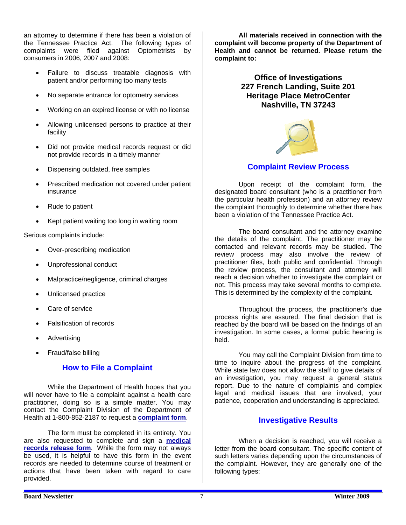an attorney to determine if there has been a violation of the Tennessee Practice Act. The following types of complaints were filed against Optometrists by consumers in 2006, 2007 and 2008:

- Failure to discuss treatable diagnosis with patient and/or performing too many tests
- No separate entrance for optometry services
- Working on an expired license or with no license
- Allowing unlicensed persons to practice at their facility
- Did not provide medical records request or did not provide records in a timely manner
- Dispensing outdated, free samples
- Prescribed medication not covered under patient insurance
- Rude to patient
- Kept patient waiting too long in waiting room

Serious complaints include:

- Over-prescribing medication
- Unprofessional conduct
- Malpractice/negligence, criminal charges
- Unlicensed practice
- Care of service
- Falsification of records
- **Advertising**
- Fraud/false billing

## **How to File a Complaint**

 While the Department of Health hopes that you will never have to file a complaint against a health care practitioner, doing so is a simple matter. You may contact the Complaint Division of the Department of Health at 1-800-852-2187 to request a **[complaint form](http://health.state.tn.us/Downloads/g5020208.pdf)**.

 The form must be completed in its entirety. You are also requested to complete and sign a **[medical](http://health.state.tn.us/Downloads/medreleaseform.pdf)  [records release form](http://health.state.tn.us/Downloads/medreleaseform.pdf)**. While the form may not always be used, it is helpful to have this form in the event records are needed to determine course of treatment or actions that have been taken with regard to care provided.

 **All materials received in connection with the complaint will become property of the Department of Health and cannot be returned. Please return the complaint to:** 

> **Office of Investigations 227 French Landing, Suite 201 Heritage Place MetroCenter Nashville, TN 37243**



## **Complaint Review Process**

Upon receipt of the complaint form, the designated board consultant (who is a practitioner from the particular health profession) and an attorney review the complaint thoroughly to determine whether there has been a violation of the Tennessee Practice Act.

 The board consultant and the attorney examine the details of the complaint. The practitioner may be contacted and relevant records may be studied. The review process may also involve the review of practitioner files, both public and confidential. Through the review process, the consultant and attorney will reach a decision whether to investigate the complaint or not. This process may take several months to complete. This is determined by the complexity of the complaint.

 Throughout the process, the practitioner's due process rights are assured. The final decision that is reached by the board will be based on the findings of an investigation. In some cases, a formal public hearing is held.

 You may call the Complaint Division from time to time to inquire about the progress of the complaint. While state law does not allow the staff to give details of an investigation, you may request a general status report. Due to the nature of complaints and complex legal and medical issues that are involved, your patience, cooperation and understanding is appreciated.

## **Investigative Results**

 When a decision is reached, you will receive a letter from the board consultant. The specific content of such letters varies depending upon the circumstances of the complaint. However, they are generally one of the following types: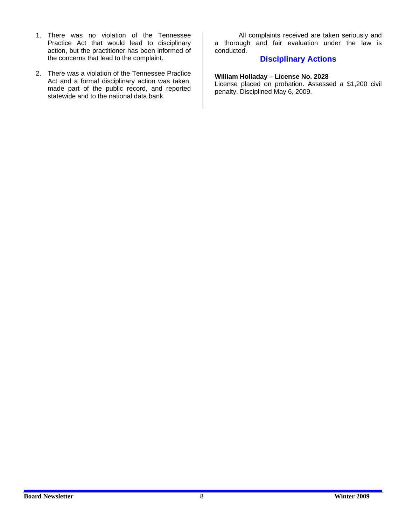- 1. There was no violation of the Tennessee Practice Act that would lead to disciplinary action, but the practitioner has been informed of the concerns that lead to the complaint.
- 2. There was a violation of the Tennessee Practice Act and a formal disciplinary action was taken, made part of the public record, and reported statewide and to the national data bank.

 All complaints received are taken seriously and a thorough and fair evaluation under the law is conducted.

## **Disciplinary Actions**

**William Holladay – License No. 2028** 

License placed on probation. Assessed a \$1,200 civil penalty. Disciplined May 6, 2009.